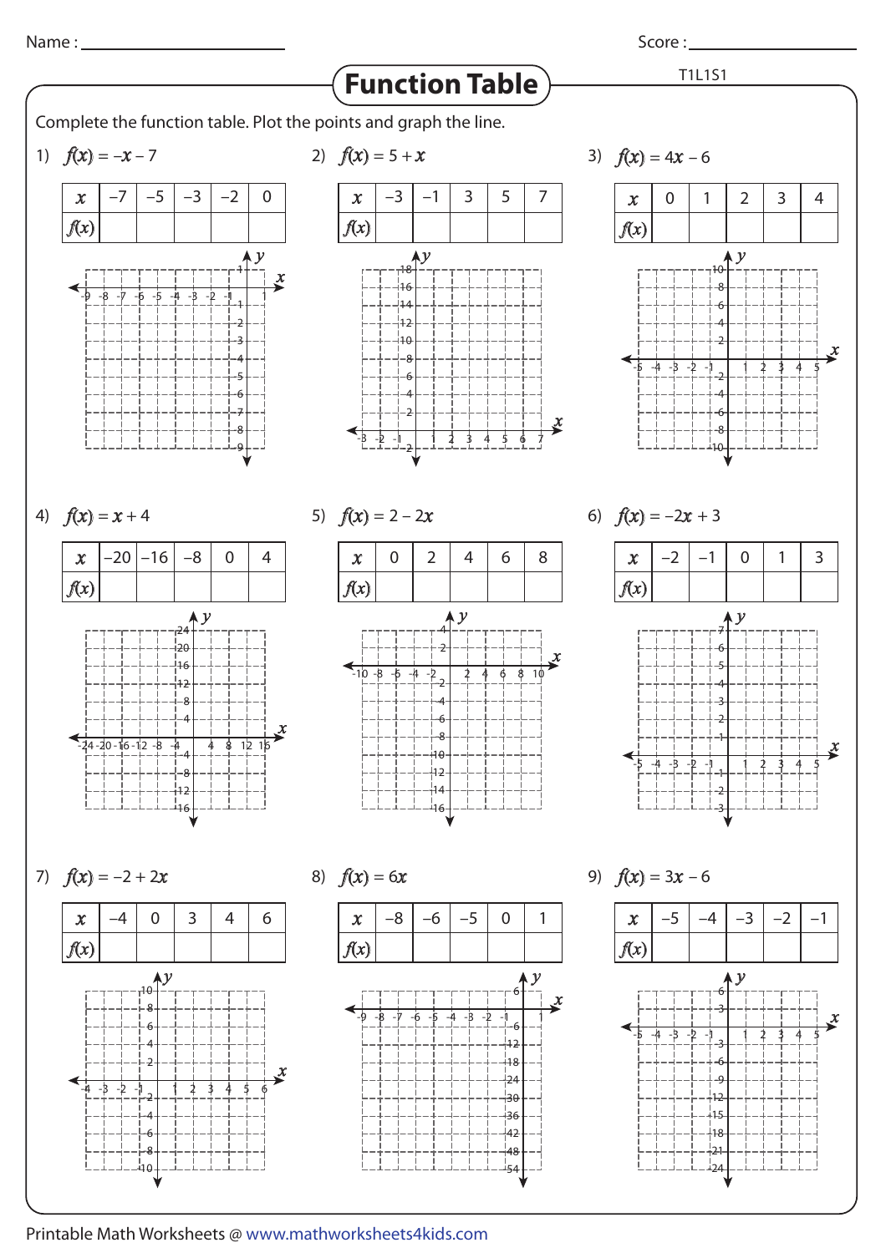Score :

T1L1S1



Complete the function table. Plot the points and graph the line.

1)  $f(x) = -$ 



-8

-9



 $f(x) = 4x - 6$ 



4)  $f(x) =$ 



 $f(x) = 2 - 2x$  6) f(









8)  $f(x) = 6x$  9)  $f(x) = 3x - 6$  $(x) = 6$ –8 –6 –5 0 1 -9 -8 -7 -6 -5 -1 -4 -3 -2 1 6 30 -6 -12  $48$  $-24$ .<br>36  $42$ -48 -54  $\boldsymbol{\mathcal{X}}$  $\sim$